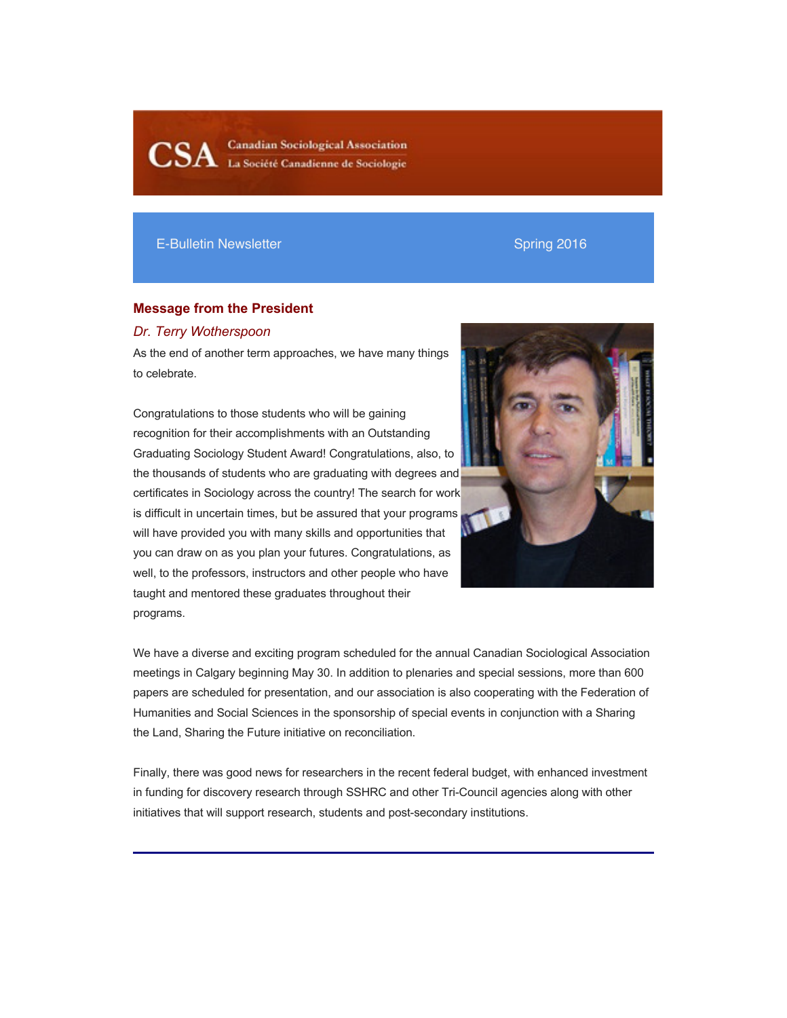**Canadian Sociological Association** La Société Canadienne de Sociologie

# E-Bulletin Newsletter Spring 2016

# **Message from the President**

## *Dr. Terry Wotherspoon*

As the end of another term approaches, we have many things to celebrate.

Congratulations to those students who will be gaining recognition for their accomplishments with an Outstanding Graduating Sociology Student Award! Congratulations, also, to the thousands of students who are graduating with degrees and certificates in Sociology across the country! The search for work is difficult in uncertain times, but be assured that your programs will have provided you with many skills and opportunities that you can draw on as you plan your futures. Congratulations, as well, to the professors, instructors and other people who have taught and mentored these graduates throughout their programs.



We have a diverse and exciting program scheduled for the annual Canadian Sociological Association meetings in Calgary beginning May 30. In addition to plenaries and special sessions, more than 600 papers are scheduled for presentation, and our association is also cooperating with the Federation of Humanities and Social Sciences in the sponsorship of special events in conjunction with a Sharing the Land, Sharing the Future initiative on reconciliation.

Finally, there was good news for researchers in the recent federal budget, with enhanced investment in funding for discovery research through SSHRC and other Tri-Council agencies along with other initiatives that will support research, students and post-secondary institutions.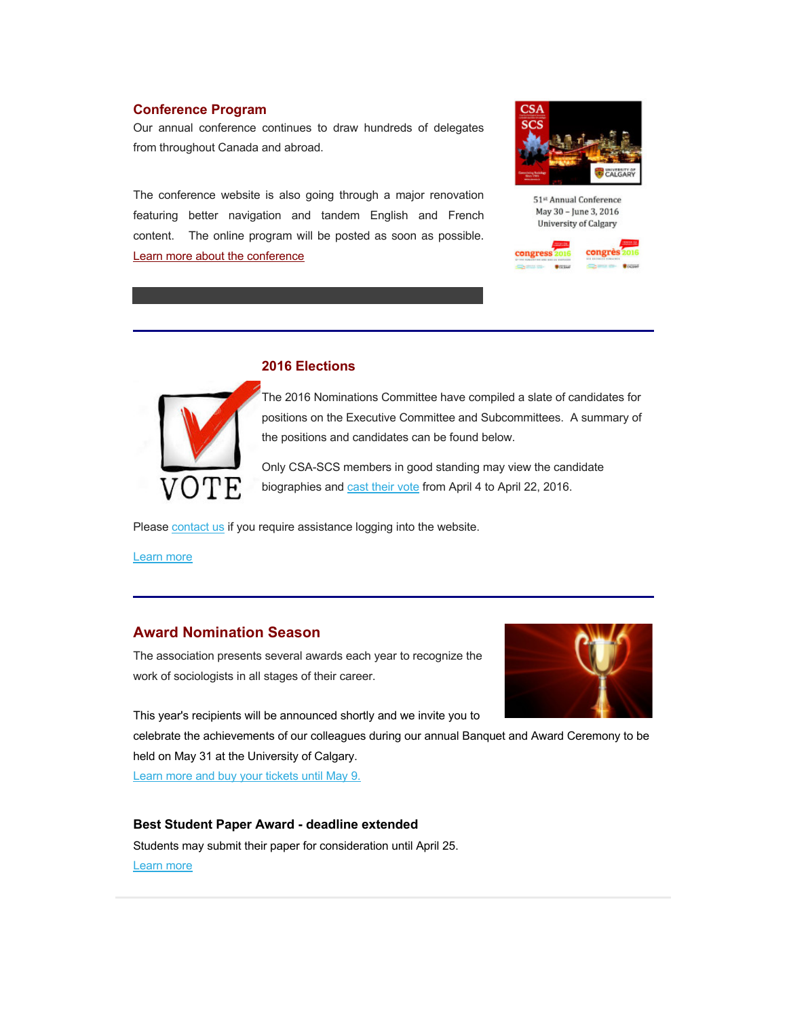# **Conference Program**

Our annual conference continues to draw hundreds of delegates from throughout Canada and abroad.

The conference website is also going through a major renovation featuring better navigation and tandem English and French content. The online program will be posted as soon as possible. Learn more about the conference



51st Annual Conference May 30 - June 3, 2016 University of Calgary





## **2016 Elections**

The 2016 Nominations Committee have compiled a slate of candidates for positions on the Executive Committee and Subcommittees. A summary of the positions and candidates can be found below.

Only CSA-SCS members in good standing may view the candidate biographies and cast their vote from April 4 to April 22, 2016.

Please contact us if you require assistance logging into the website.

Learn more

# **Award Nomination Season**

The association presents several awards each year to recognize the work of sociologists in all stages of their career.



This year's recipients will be announced shortly and we invite you to

celebrate the achievements of our colleagues during our annual Banquet and Award Ceremony to be held on May 31 at the University of Calgary.

Learn more and buy your tickets until May 9.

#### **Best Student Paper Award - deadline extended**

Students may submit their paper for consideration until April 25. Learn more